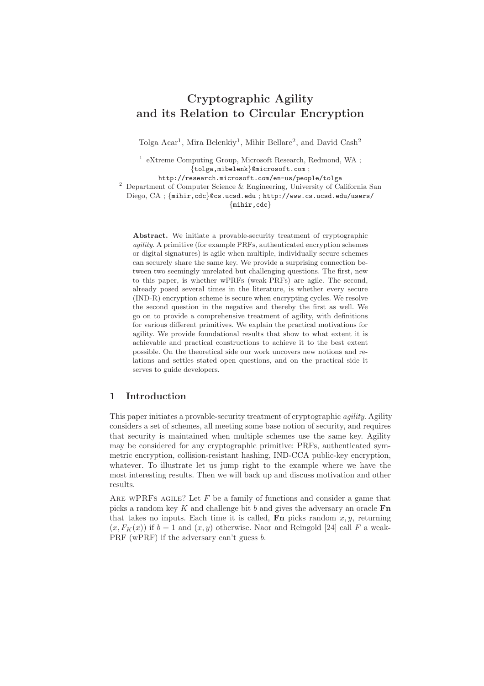# Cryptographic Agility and its Relation to Circular Encryption

Tolga Acar<sup>1</sup>, Mira Belenkiy<sup>1</sup>, Mihir Bellare<sup>2</sup>, and David Cash<sup>2</sup>

1 eXtreme Computing Group, Microsoft Research, Redmond, WA ; {tolga,mibelenk}@microsoft.com ;

http://research.microsoft.com/en-us/people/tolga

 $^2$  Department of Computer Science  $\&$  Engineering, University of California San

Diego, CA ; {mihir,cdc}@cs.ucsd.edu ; http://www.cs.ucsd.edu/users/ {mihir,cdc}

Abstract. We initiate a provable-security treatment of cryptographic agility. A primitive (for example PRFs, authenticated encryption schemes or digital signatures) is agile when multiple, individually secure schemes can securely share the same key. We provide a surprising connection between two seemingly unrelated but challenging questions. The first, new to this paper, is whether wPRFs (weak-PRFs) are agile. The second, already posed several times in the literature, is whether every secure (IND-R) encryption scheme is secure when encrypting cycles. We resolve the second question in the negative and thereby the first as well. We go on to provide a comprehensive treatment of agility, with definitions for various different primitives. We explain the practical motivations for agility. We provide foundational results that show to what extent it is achievable and practical constructions to achieve it to the best extent possible. On the theoretical side our work uncovers new notions and relations and settles stated open questions, and on the practical side it serves to guide developers.

# 1 Introduction

This paper initiates a provable-security treatment of cryptographic *agility*. Agility considers a set of schemes, all meeting some base notion of security, and requires that security is maintained when multiple schemes use the same key. Agility may be considered for any cryptographic primitive: PRFs, authenticated symmetric encryption, collision-resistant hashing, IND-CCA public-key encryption, whatever. To illustrate let us jump right to the example where we have the most interesting results. Then we will back up and discuss motivation and other results.

ARE WPRFS AGILE? Let  $F$  be a family of functions and consider a game that picks a random key  $K$  and challenge bit  $b$  and gives the adversary an oracle  $\mathbf{Fn}$ that takes no inputs. Each time it is called,  $\bf{F}$ n picks random x, y, returning  $(x, F_K(x))$  if  $b = 1$  and  $(x, y)$  otherwise. Naor and Reingold [24] call F a weak-PRF (wPRF) if the adversary can't guess b.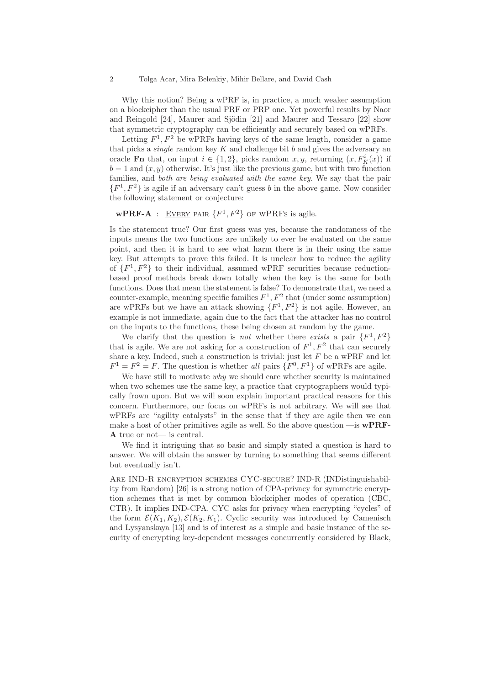Why this notion? Being a wPRF is, in practice, a much weaker assumption on a blockcipher than the usual PRF or PRP one. Yet powerful results by Naor and Reingold [24], Maurer and Sjödin [21] and Maurer and Tessaro [22] show that symmetric cryptography can be efficiently and securely based on wPRFs.

Letting  $F^1, F^2$  be wPRFs having keys of the same length, consider a game that picks a *single* random key  $K$  and challenge bit  $b$  and gives the adversary and oracle **Fn** that, on input  $i \in \{1, 2\}$ , picks random  $x, y$ , returning  $(x, F_K^i(x))$  if  $b = 1$  and  $(x, y)$  otherwise. It's just like the previous game, but with two function families, and both are being evaluated with the same key. We say that the pair  $\{F^1, F^2\}$  is agile if an adversary can't guess b in the above game. Now consider the following statement or conjecture:

### **wPRF-A** : <u>EVERY</u> PAIR  $\{F^1, F^2\}$  OF WPRFS is agile.

Is the statement true? Our first guess was yes, because the randomness of the inputs means the two functions are unlikely to ever be evaluated on the same point, and then it is hard to see what harm there is in their using the same key. But attempts to prove this failed. It is unclear how to reduce the agility of  $\{F^1, F^2\}$  to their individual, assumed wPRF securities because reductionbased proof methods break down totally when the key is the same for both functions. Does that mean the statement is false? To demonstrate that, we need a counter-example, meaning specific families  $F^1, F^2$  that (under some assumption) are wPRFs but we have an attack showing  $\{F^1, F^2\}$  is not agile. However, an example is not immediate, again due to the fact that the attacker has no control on the inputs to the functions, these being chosen at random by the game.

We clarify that the question is *not* whether there exists a pair  $\{F^1, F^2\}$ that is agile. We are not asking for a construction of  $F<sup>1</sup>, F<sup>2</sup>$  that can securely share a key. Indeed, such a construction is trivial: just let  $F$  be a wPRF and let  $F^1 = F^2 = F$ . The question is whether all pairs  $\{F^0, F^1\}$  of wPRFs are agile.

We have still to motivate *why* we should care whether security is maintained when two schemes use the same key, a practice that cryptographers would typically frown upon. But we will soon explain important practical reasons for this concern. Furthermore, our focus on wPRFs is not arbitrary. We will see that wPRFs are "agility catalysts" in the sense that if they are agile then we can make a host of other primitives agile as well. So the above question  $\equiv$  is  $\bf{wPRF}$ A true or not— is central.

We find it intriguing that so basic and simply stated a question is hard to answer. We will obtain the answer by turning to something that seems different but eventually isn't.

Are IND-R encryption schemes CYC-secure? IND-R (INDistinguishability from Random) [26] is a strong notion of CPA-privacy for symmetric encryption schemes that is met by common blockcipher modes of operation (CBC, CTR). It implies IND-CPA. CYC asks for privacy when encrypting "cycles" of the form  $\mathcal{E}(K_1, K_2), \mathcal{E}(K_2, K_1)$ . Cyclic security was introduced by Camenisch and Lysyanskaya [13] and is of interest as a simple and basic instance of the security of encrypting key-dependent messages concurrently considered by Black,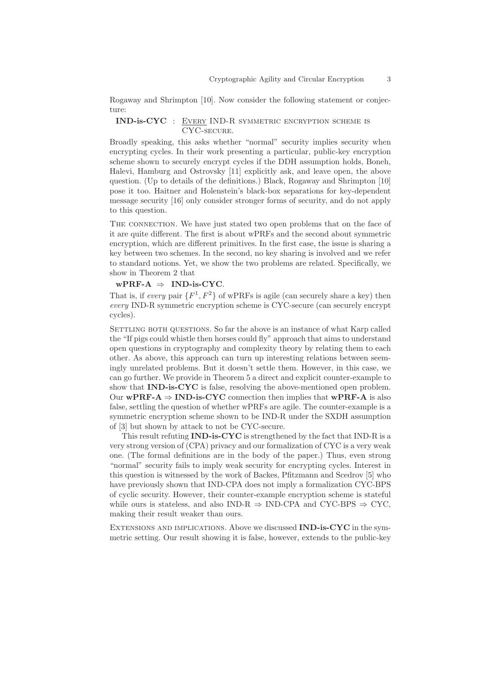Rogaway and Shrimpton [10]. Now consider the following statement or conjecture:

#### IND-is-CYC : Every IND-R symmetric encryption scheme is CYC-secure.

Broadly speaking, this asks whether "normal" security implies security when encrypting cycles. In their work presenting a particular, public-key encryption scheme shown to securely encrypt cycles if the DDH assumption holds, Boneh, Halevi, Hamburg and Ostrovsky [11] explicitly ask, and leave open, the above question. (Up to details of the definitions.) Black, Rogaway and Shrimpton [10] pose it too. Haitner and Holenstein's black-box separations for key-dependent message security [16] only consider stronger forms of security, and do not apply to this question.

THE CONNECTION. We have just stated two open problems that on the face of it are quite different. The first is about wPRFs and the second about symmetric encryption, which are different primitives. In the first case, the issue is sharing a key between two schemes. In the second, no key sharing is involved and we refer to standard notions. Yet, we show the two problems are related. Specifically, we show in Theorem 2 that

#### $wPRE-A \Rightarrow IND-is-CYC.$

That is, if every pair  $\{F^1, F^2\}$  of wPRFs is agile (can securely share a key) then every IND-R symmetric encryption scheme is CYC-secure (can securely encrypt cycles).

SETTLING BOTH QUESTIONS. So far the above is an instance of what Karp called the "If pigs could whistle then horses could fly" approach that aims to understand open questions in cryptography and complexity theory by relating them to each other. As above, this approach can turn up interesting relations between seemingly unrelated problems. But it doesn't settle them. However, in this case, we can go further. We provide in Theorem 5 a direct and explicit counter-example to show that **IND-is-CYC** is false, resolving the above-mentioned open problem. Our  $wPRF-A \Rightarrow IND$ -is-CYC connection then implies that  $wPRF-A$  is also false, settling the question of whether wPRFs are agile. The counter-example is a symmetric encryption scheme shown to be IND-R under the SXDH assumption of [3] but shown by attack to not be CYC-secure.

This result refuting **IND-is-CYC** is strengthened by the fact that IND-R is a very strong version of (CPA) privacy and our formalization of CYC is a very weak one. (The formal definitions are in the body of the paper.) Thus, even strong "normal" security fails to imply weak security for encrypting cycles. Interest in this question is witnessed by the work of Backes, Pfitzmann and Scedrov [5] who have previously shown that IND-CPA does not imply a formalization CYC-BPS of cyclic security. However, their counter-example encryption scheme is stateful while ours is stateless, and also IND-R  $\Rightarrow$  IND-CPA and CYC-BPS  $\Rightarrow$  CYC, making their result weaker than ours.

Extensions and implications. Above we discussed IND-is-CYC in the symmetric setting. Our result showing it is false, however, extends to the public-key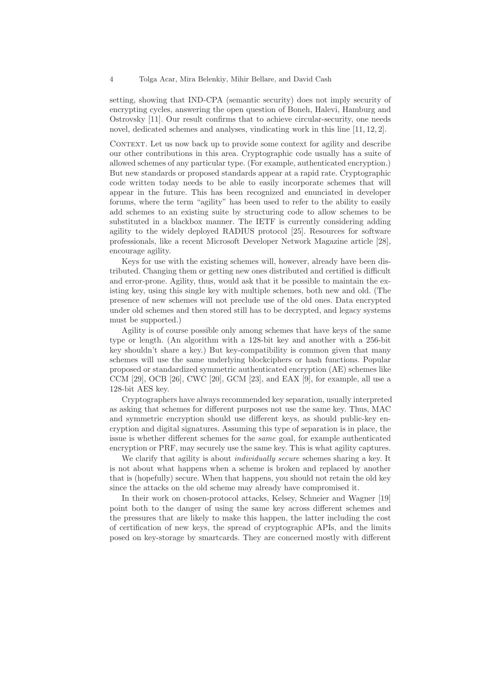setting, showing that IND-CPA (semantic security) does not imply security of encrypting cycles, answering the open question of Boneh, Halevi, Hamburg and Ostrovsky [11]. Our result confirms that to achieve circular-security, one needs novel, dedicated schemes and analyses, vindicating work in this line [11, 12, 2].

CONTEXT. Let us now back up to provide some context for agility and describe our other contributions in this area. Cryptographic code usually has a suite of allowed schemes of any particular type. (For example, authenticated encryption.) But new standards or proposed standards appear at a rapid rate. Cryptographic code written today needs to be able to easily incorporate schemes that will appear in the future. This has been recognized and enunciated in developer forums, where the term "agility" has been used to refer to the ability to easily add schemes to an existing suite by structuring code to allow schemes to be substituted in a blackbox manner. The IETF is currently considering adding agility to the widely deployed RADIUS protocol [25]. Resources for software professionals, like a recent Microsoft Developer Network Magazine article [28], encourage agility.

Keys for use with the existing schemes will, however, already have been distributed. Changing them or getting new ones distributed and certified is difficult and error-prone. Agility, thus, would ask that it be possible to maintain the existing key, using this single key with multiple schemes, both new and old. (The presence of new schemes will not preclude use of the old ones. Data encrypted under old schemes and then stored still has to be decrypted, and legacy systems must be supported.)

Agility is of course possible only among schemes that have keys of the same type or length. (An algorithm with a 128-bit key and another with a 256-bit key shouldn't share a key.) But key-compatibility is common given that many schemes will use the same underlying blockciphers or hash functions. Popular proposed or standardized symmetric authenticated encryption (AE) schemes like CCM  $[29]$ , OCB  $[26]$ , CWC  $[20]$ , GCM  $[23]$ , and EAX  $[9]$ , for example, all use a 128-bit AES key.

Cryptographers have always recommended key separation, usually interpreted as asking that schemes for different purposes not use the same key. Thus, MAC and symmetric encryption should use different keys, as should public-key encryption and digital signatures. Assuming this type of separation is in place, the issue is whether different schemes for the same goal, for example authenticated encryption or PRF, may securely use the same key. This is what agility captures.

We clarify that agility is about *individually secure* schemes sharing a key. It is not about what happens when a scheme is broken and replaced by another that is (hopefully) secure. When that happens, you should not retain the old key since the attacks on the old scheme may already have compromised it.

In their work on chosen-protocol attacks, Kelsey, Schneier and Wagner [19] point both to the danger of using the same key across different schemes and the pressures that are likely to make this happen, the latter including the cost of certification of new keys, the spread of cryptographic APIs, and the limits posed on key-storage by smartcards. They are concerned mostly with different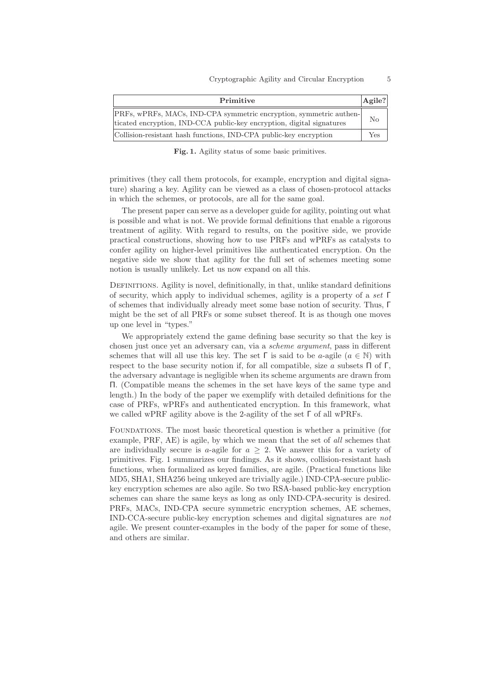| Primitive                                                                                                                                   | Agile? |
|---------------------------------------------------------------------------------------------------------------------------------------------|--------|
| PRFs, wPRFs, MACs, IND-CPA symmetric encryption, symmetric authen-<br>ticated encryption, IND-CCA public-key encryption, digital signatures | No     |
| Collision-resistant hash functions, IND-CPA public-key encryption                                                                           | Yes    |

Fig. 1. Agility status of some basic primitives.

primitives (they call them protocols, for example, encryption and digital signature) sharing a key. Agility can be viewed as a class of chosen-protocol attacks in which the schemes, or protocols, are all for the same goal.

The present paper can serve as a developer guide for agility, pointing out what is possible and what is not. We provide formal definitions that enable a rigorous treatment of agility. With regard to results, on the positive side, we provide practical constructions, showing how to use PRFs and wPRFs as catalysts to confer agility on higher-level primitives like authenticated encryption. On the negative side we show that agility for the full set of schemes meeting some notion is usually unlikely. Let us now expand on all this.

DEFINITIONS. Agility is novel, definitionally, in that, unlike standard definitions of security, which apply to individual schemes, agility is a property of a set Γ of schemes that individually already meet some base notion of security. Thus, Γ might be the set of all PRFs or some subset thereof. It is as though one moves up one level in "types."

We appropriately extend the game defining base security so that the key is chosen just once yet an adversary can, via a scheme argument, pass in different schemes that will all use this key. The set  $\Gamma$  is said to be a-agile  $(a \in \mathbb{N})$  with respect to the base security notion if, for all compatible, size a subsets  $\Pi$  of  $\Gamma$ , the adversary advantage is negligible when its scheme arguments are drawn from Π. (Compatible means the schemes in the set have keys of the same type and length.) In the body of the paper we exemplify with detailed definitions for the case of PRFs, wPRFs and authenticated encryption. In this framework, what we called wPRF agility above is the 2-agility of the set Γ of all wPRFs.

Foundations. The most basic theoretical question is whether a primitive (for example, PRF, AE) is agile, by which we mean that the set of all schemes that are individually secure is a-agile for  $a \geq 2$ . We answer this for a variety of primitives. Fig. 1 summarizes our findings. As it shows, collision-resistant hash functions, when formalized as keyed families, are agile. (Practical functions like MD5, SHA1, SHA256 being unkeyed are trivially agile.) IND-CPA-secure publickey encryption schemes are also agile. So two RSA-based public-key encryption schemes can share the same keys as long as only IND-CPA-security is desired. PRFs, MACs, IND-CPA secure symmetric encryption schemes, AE schemes, IND-CCA-secure public-key encryption schemes and digital signatures are not agile. We present counter-examples in the body of the paper for some of these, and others are similar.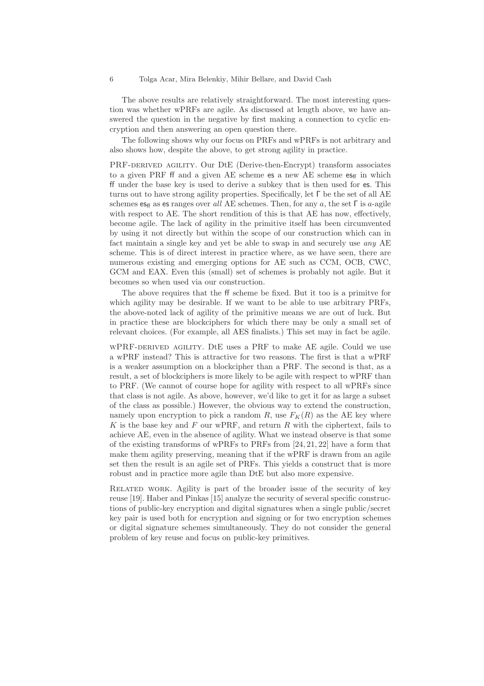The above results are relatively straightforward. The most interesting question was whether wPRFs are agile. As discussed at length above, we have answered the question in the negative by first making a connection to cyclic encryption and then answering an open question there.

The following shows why our focus on PRFs and wPRFs is not arbitrary and also shows how, despite the above, to get strong agility in practice.

PRF-DERIVED AGILITY. Our DtE (Derive-then-Encrypt) transform associates to a given PRF ff and a given AE scheme es a new AE scheme  $es<sub>ff</sub>$  in which ff under the base key is used to derive a subkey that is then used for es. This turns out to have strong agility properties. Specifically, let Γ be the set of all AE schemes es<sub>ff</sub> as es ranges over all AE schemes. Then, for any a, the set  $\Gamma$  is a-agile with respect to AE. The short rendition of this is that AE has now, effectively, become agile. The lack of agility in the primitive itself has been circumvented by using it not directly but within the scope of our construction which can in fact maintain a single key and yet be able to swap in and securely use any AE scheme. This is of direct interest in practice where, as we have seen, there are numerous existing and emerging options for AE such as CCM, OCB, CWC, GCM and EAX. Even this (small) set of schemes is probably not agile. But it becomes so when used via our construction.

The above requires that the ff scheme be fixed. But it too is a primitve for which agility may be desirable. If we want to be able to use arbitrary PRFs, the above-noted lack of agility of the primitive means we are out of luck. But in practice these are blockciphers for which there may be only a small set of relevant choices. (For example, all AES finalists.) This set may in fact be agile.

wPRF-derived agility. DtE uses a PRF to make AE agile. Could we use a wPRF instead? This is attractive for two reasons. The first is that a wPRF is a weaker assumption on a blockcipher than a PRF. The second is that, as a result, a set of blockciphers is more likely to be agile with respect to wPRF than to PRF. (We cannot of course hope for agility with respect to all wPRFs since that class is not agile. As above, however, we'd like to get it for as large a subset of the class as possible.) However, the obvious way to extend the construction, namely upon encryption to pick a random R, use  $F_K(R)$  as the AE key where K is the base key and F our wPRF, and return R with the ciphertext, fails to achieve AE, even in the absence of agility. What we instead observe is that some of the existing transforms of wPRFs to PRFs from [24, 21, 22] have a form that make them agility preserving, meaning that if the wPRF is drawn from an agile set then the result is an agile set of PRFs. This yields a construct that is more robust and in practice more agile than DtE but also more expensive.

Related work. Agility is part of the broader issue of the security of key reuse [19]. Haber and Pinkas [15] analyze the security of several specific constructions of public-key encryption and digital signatures when a single public/secret key pair is used both for encryption and signing or for two encryption schemes or digital signature schemes simultaneously. They do not consider the general problem of key reuse and focus on public-key primitives.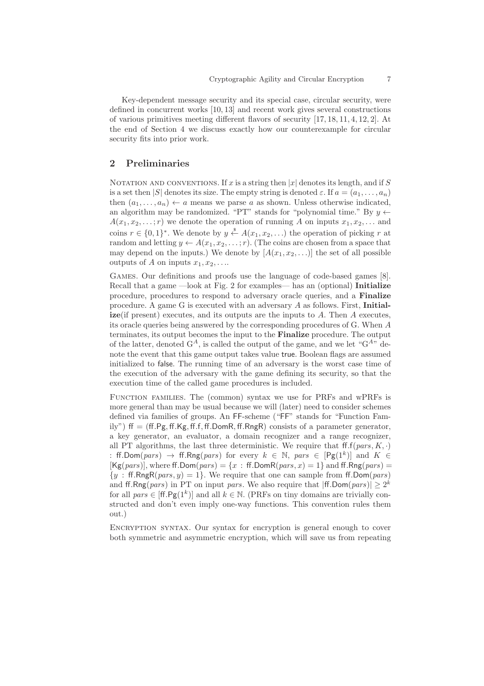Key-dependent message security and its special case, circular security, were defined in concurrent works [10, 13] and recent work gives several constructions of various primitives meeting different flavors of security [17, 18, 11, 4, 12, 2]. At the end of Section 4 we discuss exactly how our counterexample for circular security fits into prior work.

# 2 Preliminaries

NOTATION AND CONVENTIONS. If x is a string then  $|x|$  denotes its length, and if S is a set then |S| denotes its size. The empty string is denoted  $\varepsilon$ . If  $a = (a_1, \ldots, a_n)$ then  $(a_1, \ldots, a_n) \leftarrow a$  means we parse a as shown. Unless otherwise indicated, an algorithm may be randomized. "PT" stands for "polynomial time." By  $y \leftarrow$  $A(x_1, x_2, \ldots; r)$  we denote the operation of running A on inputs  $x_1, x_2, \ldots$  and coins  $r \in \{0,1\}^*$ . We denote by  $y \stackrel{s}{\leftarrow} A(x_1, x_2, \ldots)$  the operation of picking r at random and letting  $y \leftarrow A(x_1, x_2, \ldots; r)$ . (The coins are chosen from a space that may depend on the inputs.) We denote by  $[A(x_1, x_2, \ldots)]$  the set of all possible outputs of A on inputs  $x_1, x_2, \ldots$ 

Games. Our definitions and proofs use the language of code-based games [8]. Recall that a game —look at Fig. 2 for examples— has an (optional) Initialize procedure, procedures to respond to adversary oracle queries, and a Finalize procedure. A game G is executed with an adversary  $A$  as follows. First, **Initial** $i\mathbf{z}$  executes, and its outputs are the inputs to A. Then A executes, its oracle queries being answered by the corresponding procedures of G. When A terminates, its output becomes the input to the Finalize procedure. The output of the latter, denoted  $G^A$ , is called the output of the game, and we let " $G^{A}$ " denote the event that this game output takes value true. Boolean flags are assumed initialized to false. The running time of an adversary is the worst case time of the execution of the adversary with the game defining its security, so that the execution time of the called game procedures is included.

Function families. The (common) syntax we use for PRFs and wPRFs is more general than may be usual because we will (later) need to consider schemes defined via families of groups. An FF-scheme ("FF" stands for "Function Family")  $ff = (ff.Pg, ff.Kg, ff.f, ff.DomR, ff.RngR)$  consists of a parameter generator, a key generator, an evaluator, a domain recognizer and a range recognizer, all PT algorithms, the last three deterministic. We require that ff.  $f(pars, K, \cdot)$ : ff.Dom(pars)  $\rightarrow$  ff.Rng(pars) for every  $k \in \mathbb{N}$ , pars  $\in$  [Pg(1<sup>k</sup>)] and  $K \in$  $[Kg(pars)]$ , where ff. Dom $(pars) = \{x : ff.DomR(pars, x) = 1\}$  and ff. Rng $(pars) =$  ${y : f(RngR(pars, y) = 1}.$  We require that one can sample from ff. Dom(pars) and ff.Rng(*pars*) in PT on input *pars*. We also require that  $|$  ff.Dom(*pars*) $| \geq 2^k$ for all  $pars \in [ff.Pg(1^k)]$  and all  $k \in \mathbb{N}$ . (PRFs on tiny domains are trivially constructed and don't even imply one-way functions. This convention rules them out.)

Encryption syntax. Our syntax for encryption is general enough to cover both symmetric and asymmetric encryption, which will save us from repeating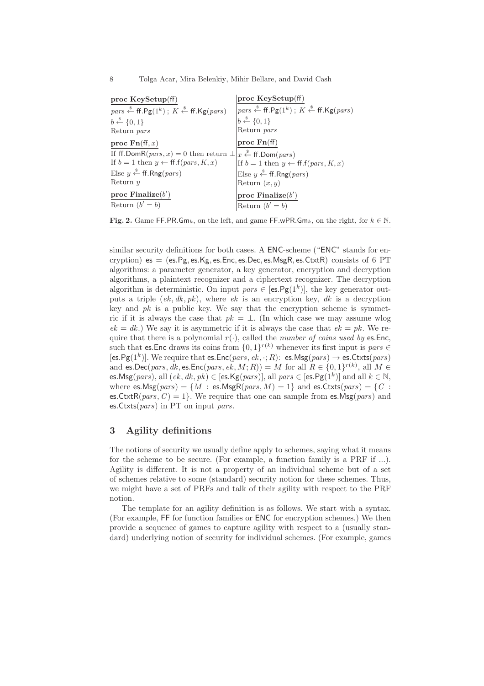| proc KeySetup(ff)                                                                                     | $proc$ KeySetup(ff)                                                                                 |
|-------------------------------------------------------------------------------------------------------|-----------------------------------------------------------------------------------------------------|
| $pars \stackrel{\$}{\leftarrow} \text{ff.Pg}(1^k)$ ; $K \stackrel{\$}{\leftarrow} \text{ff.Kg}(pars)$ | $\vert$ pars $\xleftarrow{\$}$ ff. $\mathsf{Pg}(1^k)$ ; $K \xleftarrow{\$}$ ff. $\mathsf{Kg}(pars)$ |
| $b \stackrel{\$}{\leftarrow} \{0,1\}$                                                                 | $b \stackrel{\$}{\leftarrow} \{0,1\}$                                                               |
| Return pars                                                                                           | Return pars                                                                                         |
| proc $\text{Fn}(\text{ff},x)$                                                                         | $proc \operatorname{Fn}(\text{ff})$                                                                 |
| If ff.DomR(pars, x) = 0 then return $\perp   x \stackrel{\$}{\leftarrow}$ ff.Dom(pars)                |                                                                                                     |
| If $b = 1$ then $y \leftarrow$ ff.f(pars, K, x)                                                       | If $b = 1$ then $y \leftarrow$ ff.f( <i>pars</i> , $K, x$ )                                         |
| Else $y \stackrel{\$}{\leftarrow}$ ff. Rng( <i>pars</i> )                                             | Else $y \stackrel{\$}{\leftarrow}$ ff.Rng( <i>pars</i> )                                            |
| Return $y$                                                                                            | Return $(x, y)$                                                                                     |
| proc Finalize $(b')$                                                                                  | proc Finalize $(b')$                                                                                |
| Return $(b' = b)$                                                                                     | Return $(b' = b)$                                                                                   |
|                                                                                                       |                                                                                                     |

similar security definitions for both cases. A ENC-scheme ("ENC" stands for encryption) es = (es.Pg, es.Kg, es.Enc, es.Dec, es.MsgR, es.CtxtR) consists of 6 PT algorithms: a parameter generator, a key generator, encryption and decryption algorithms, a plaintext recognizer and a ciphertext recognizer. The decryption algorithm is deterministic. On input  $pars \in [es.Pg(1^k)],$  the key generator outputs a triple  $(ek, dk, pk)$ , where  $ek$  is an encryption key, dk is a decryption key and  $pk$  is a public key. We say that the encryption scheme is symmetric if it is always the case that  $pk = \perp$ . (In which case we may assume wlog  $ek = dk$ .) We say it is asymmetric if it is always the case that  $ek = pk$ . We require that there is a polynomial  $r(\cdot)$ , called the *number of coins used by* es. Enc, such that es. Enc draws its coins from  $\{0,1\}^{r(k)}$  whenever its first input is  $pars \in$ [es.Pg(1<sup>k</sup>)]. We require that es.Enc(*pars*,  $ek, \cdot; R$ ): es.Msg(*pars*)  $\rightarrow$  es.Ctxts(*pars*) and es.Dec(*pars*, *dk*, es.Enc(*pars*, *ek*, *M*; *R*)) = *M* for all  $R \in \{0, 1\}^{r(k)}$ , all  $M \in$ es. $\mathsf{Msg}(\textit{pars})$ , all  $(\textit{ek}, \textit{dk}, \textit{pk}) \in [\textsf{es}.\mathsf{Kg}(\textit{pars})],$  all  $\textit{pars} \in [\textsf{es}.\mathsf{Pg}(1^k)]$  and all  $k \in \mathbb{N},$ where  $\text{es.Msg}(pars) = \{M : \text{es.MsgR}(pars, M) = 1\}$  and  $\text{es.Ctxts}(pars) = \{C :$ es.CtxtR( $pars, C$ ) = 1}. We require that one can sample from es.Msg( $pars$ ) and es.Ctxts(pars) in PT on input pars.

Fig. 2. Game FF.PR.Gm<sub>k</sub>, on the left, and game FF.wPR.Gm<sub>k</sub>, on the right, for  $k \in \mathbb{N}$ .

## 3 Agility definitions

The notions of security we usually define apply to schemes, saying what it means for the scheme to be secure. (For example, a function family is a PRF if ...). Agility is different. It is not a property of an individual scheme but of a set of schemes relative to some (standard) security notion for these schemes. Thus, we might have a set of PRFs and talk of their agility with respect to the PRF notion.

The template for an agility definition is as follows. We start with a syntax. (For example, FF for function families or ENC for encryption schemes.) We then provide a sequence of games to capture agility with respect to a (usually standard) underlying notion of security for individual schemes. (For example, games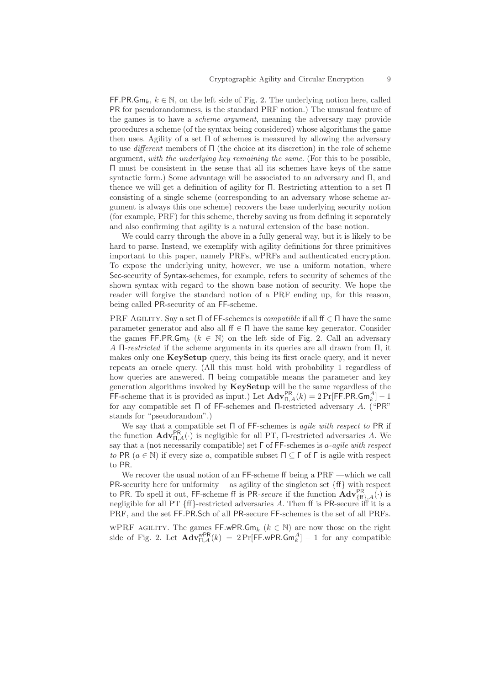FF.PR.Gm<sub>k</sub>,  $k \in \mathbb{N}$ , on the left side of Fig. 2. The underlying notion here, called PR for pseudorandomness, is the standard PRF notion.) The unusual feature of the games is to have a scheme argument, meaning the adversary may provide procedures a scheme (of the syntax being considered) whose algorithms the game then uses. Agility of a set  $\Pi$  of schemes is measured by allowing the adversary to use different members of Π (the choice at its discretion) in the role of scheme argument, with the underlying key remaining the same. (For this to be possible, Π must be consistent in the sense that all its schemes have keys of the same syntactic form.) Some advantage will be associated to an adversary and Π, and thence we will get a definition of agility for Π. Restricting attention to a set Π consisting of a single scheme (corresponding to an adversary whose scheme argument is always this one scheme) recovers the base underlying security notion (for example, PRF) for this scheme, thereby saving us from defining it separately and also confirming that agility is a natural extension of the base notion.

We could carry through the above in a fully general way, but it is likely to be hard to parse. Instead, we exemplify with agility definitions for three primitives important to this paper, namely PRFs, wPRFs and authenticated encryption. To expose the underlying unity, however, we use a uniform notation, where Sec-security of Syntax-schemes, for example, refers to security of schemes of the shown syntax with regard to the shown base notion of security. We hope the reader will forgive the standard notion of a PRF ending up, for this reason, being called PR-security of an FF-scheme.

PRF AGILITY. Say a set  $\Pi$  of FF-schemes is *compatible* if all  $ff \in \Pi$  have the same parameter generator and also all  $\mathsf{ff} \in \mathsf{\Pi}$  have the same key generator. Consider the games FF.PR.Gm<sub>k</sub>  $(k \in \mathbb{N})$  on the left side of Fig. 2. Call an adversary A Π-restricted if the scheme arguments in its queries are all drawn from Π, it makes only one **KeySetup** query, this being its first oracle query, and it never repeats an oracle query. (All this must hold with probability 1 regardless of how queries are answered. Π being compatible means the parameter and key generation algorithms invoked by KeySetup will be the same regardless of the FF-scheme that it is provided as input.) Let  $\mathbf{Adv}_{\Pi,A}^{\mathsf{PR}}(k) = 2 \Pr[\mathsf{FF}.\mathsf{PR}.\mathsf{Gm}_k^A] - 1$ for any compatible set Π of FF-schemes and Π-restricted adversary A. ("PR" stands for "pseudorandom".)

We say that a compatible set  $\Pi$  of FF-schemes is *agile with respect to* PR if the function  $\mathbf{Adv}_{\Pi,A}^{\textsf{PR}}(\cdot)$  is negligible for all PT,  $\Pi$ -restricted adversaries A. We say that a (not necessarily compatible) set  $\Gamma$  of FF-schemes is a-agile with respect to PR  $(a \in \mathbb{N})$  if every size a, compatible subset  $\Pi \subseteq \Gamma$  of  $\Gamma$  is agile with respect to PR.

We recover the usual notion of an FF-scheme ff being a PRF —which we call PR-security here for uniformity— as agility of the singleton set {ff} with respect to PR. To spell it out, FF-scheme ff is PR-secure if the function  $\text{Adv}_{\{ff\},A}^{\text{PR}}(\cdot)$  is negligible for all PT {ff}-restricted adversaries A. Then ff is PR-secure iff it is a PRF, and the set FF.PR.Sch of all PR-secure FF-schemes is the set of all PRFs.

WPRF AGILITY. The games FF.wPR.Gm<sub>k</sub>  $(k \in \mathbb{N})$  are now those on the right side of Fig. 2. Let  $\mathbf{Adv}_{\Pi,A}^{\mathsf{WPR}}(k) = 2\Pr[\mathsf{FF}.\mathsf{wPR}.\mathsf{Gm}_{k}^{A}] - 1$  for any compatible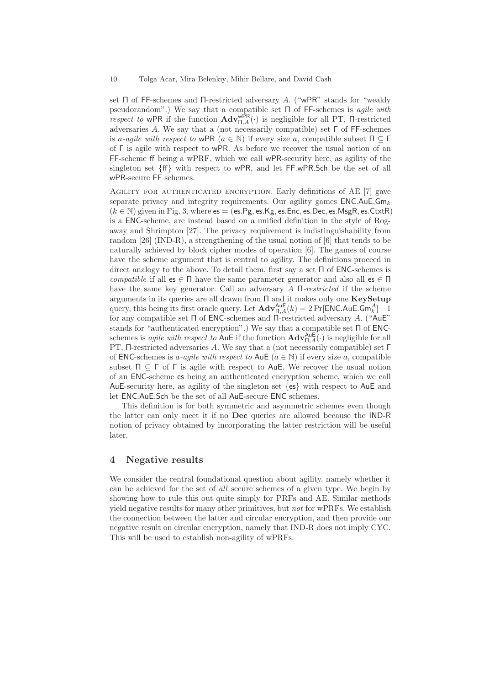set Π of FF-schemes and Π-restricted adversary A. ("wPR" stands for "weakly pseudorandom".) We say that a compatible set  $\Pi$  of FF-schemes is *agile with* respect to wPR if the function  $\mathbf{Adv}_{\Pi,A}^{\psi\hat{P}R}(\cdot)$  is negligible for all PT,  $\Pi$ -restricted adversaries A. We say that a (not necessarily compatible) set Γ of FF-schemes is a-agile with respect to wPR  $(a \in \mathbb{N})$  if every size a, compatible subset  $\Pi \subseteq \Gamma$ of Γ is agile with respect to wPR. As before we recover the usual notion of an FF-scheme ff being a wPRF, which we call wPR-security here, as agility of the singleton set {ff} with respect to wPR, and let FF.wPR.Sch be the set of all wPR-secure FF schemes.

Agility for authenticated encryption. Early definitions of AE [7] gave separate privacy and integrity requirements. Our agility games  $ENC.AuE.Gm_k$  $(k \in \mathbb{N})$  given in Fig. 3, where  $es = (es.Pg, es.Kg, es.Enc, es.Dec, es.MsgR, es.CtxtR)$ is a ENC-scheme, are instead based on a unified definition in the style of Rogaway and Shrimpton [27]. The privacy requirement is indistinguishability from random [26] (IND-R), a strengthening of the usual notion of [6] that tends to be naturally achieved by block cipher modes of operation [6]. The games of course have the scheme argument that is central to agility. The definitions proceed in direct analogy to the above. To detail them, first say a set  $\Pi$  of **ENC**-schemes is compatible if all  $es \in \Pi$  have the same parameter generator and also all  $es \in \Pi$ have the same key generator. Call an adversary  $A \Pi$ -restricted if the scheme arguments in its queries are all drawn from  $\Pi$  and it makes only one **KeySetup** query, this being its first oracle query. Let  $\mathbf{Adv}_{\Pi,A}^{\mathsf{AUE}}(k) = 2 \Pr[\mathsf{ENC}.\mathsf{AUE}.\mathsf{Gm}_{k}^{A}] - 1$ for any compatible set Π of ENC-schemes and Π-restricted adversary A. ("AuE" stands for "authenticated encryption".) We say that a compatible set Π of ENCschemes is *agile with respect to* AuE if the function  $\text{Adv}_{\Pi,A}^{\text{Aut}_{\mathcal{L}}}(\cdot)$  is negligible for all PT, Π-restricted adversaries A. We say that a (not necessarily compatible) set Γ of ENC-schemes is a-agile with respect to  $\mathsf{AUE}$   $(a \in \mathbb{N})$  if every size a, compatible subset  $\Pi \subseteq \Gamma$  of  $\Gamma$  is agile with respect to AuE. We recover the usual notion of an ENC-scheme es being an authenticated encryption scheme, which we call AuE-security here, as agility of the singleton set {es} with respect to AuE and let ENC.AuE.Sch be the set of all AuE-secure ENC schemes.

This definition is for both symmetric and asymmetric schemes even though the latter can only meet it if no Dec queries are allowed because the IND-R notion of privacy obtained by incorporating the latter restriction will be useful later.

#### 4 Negative results

We consider the central foundational question about agility, namely whether it can be achieved for the set of all secure schemes of a given type. We begin by showing how to rule this out quite simply for PRFs and AE. Similar methods yield negative results for many other primitives, but not for wPRFs. We establish the connection between the latter and circular encryption, and then provide our negative result on circular encryption, namely that IND-R does not imply CYC. This will be used to establish non-agility of wPRFs.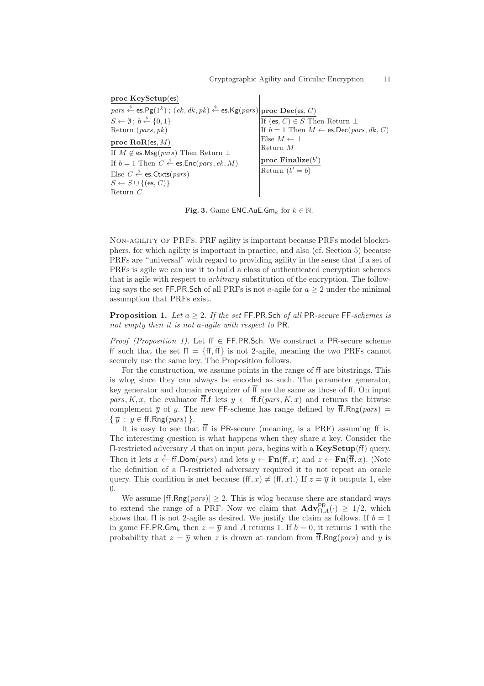proc KeySetup(es)  $pars \stackrel{\$}{\leftarrow} \textsf{es.Pg}(1^k)$ ;  $(ek, dk, pk) \stackrel{\$}{\leftarrow} \textsf{es.Kg}(pars)$  proc Dec(es, C)  $S \leftarrow \emptyset$ ;  $b \stackrel{\$}{\leftarrow} \{0,1\}$ Return (pars, pk) proc  $RoR$ (es,  $M$ ) If  $M \notin \mathsf{es.Msg}(pars)$  Then Return  $\perp$ If  $b = 1$  Then  $C \stackrel{\$}{\leftarrow}$  es. Enc $(pars, ek, M)$ Else  $C \overset{\$}{\leftarrow}$  es.Ctxts(*pars*)  $S \leftarrow S \cup \{(\mathsf{es}, C)\}$ Return C If (es,  $C$ )  $\in$  S Then Return  $\perp$ If  $b = 1$  Then  $M \leftarrow \text{es.Dec}(pars, dk, C)$ Else  $M \leftarrow \perp$ Return M proc Finalize $(b')$ Return  $(b'=b)$ 

Fig. 3. Game ENC.AuE.Gm<sub>k</sub> for  $k \in \mathbb{N}$ .

Non-agility of PRFs. PRF agility is important because PRFs model blockciphers, for which agility is important in practice, and also (cf. Section 5) because PRFs are "universal" with regard to providing agility in the sense that if a set of PRFs is agile we can use it to build a class of authenticated encryption schemes that is agile with respect to arbitrary substitution of the encryption. The following says the set FF.PR.Sch of all PRFs is not a-agile for  $a \geq 2$  under the minimal assumption that PRFs exist.

**Proposition 1.** Let  $a \geq 2$ . If the set FF.PR.Sch of all PR-secure FF-schemes is not empty then it is not a-agile with respect to PR.

*Proof (Proposition 1).* Let  $f \in FF$ . PR.Sch. We construct a PR-secure scheme  $\overline{f}$  such that the set  $\Pi = \{ff, \overline{ff}\}\$ is not 2-agile, meaning the two PRFs cannot securely use the same key. The Proposition follows.

For the construction, we assume points in the range of ff are bitstrings. This is wlog since they can always be encoded as such. The parameter generator, key generator and domain recognizer of  $\overline{f}$  are the same as those of ff. On input pars, K, x, the evaluator ff.f lets  $y \leftarrow$  ff.f(pars, K, x) and returns the bitwise complement  $\bar{y}$  of y. The new FF-scheme has range defined by  $\bar{f}$ . Rng(pars) =  $\{\overline{y} : y \in \text{ff.Rng}(pars) \}.$ 

It is easy to see that  $\overline{f}$  is PR-secure (meaning, is a PRF) assuming ff is. The interesting question is what happens when they share a key. Consider the  $\Pi$ -restricted adversary A that on input pars, begins with a  $KeySetup(ff)$  query. Then it lets  $x \stackrel{\$}{\leftarrow}$  ff. Dom $(pars)$  and lets  $y \leftarrow \text{Fn}(\text{ff}, x)$  and  $z \leftarrow \text{Fn}(\overline{\text{ff}}, x)$ . (Note the definition of a Π-restricted adversary required it to not repeat an oracle query. This condition is met because (ff, x)  $\neq$  ( $\overline{f}$ , x).) If  $z = \overline{y}$  it outputs 1, else 0.

We assume  $|f f R \log (pars)| \geq 2$ . This is wlog because there are standard ways to extend the range of a PRF. Now we claim that  $\mathbf{Adv}_{\Pi,A}^{\text{PR}}(\cdot) \ge 1/2$ , which shows that  $\Pi$  is not 2-agile as desired. We justify the claim as follows. If  $b = 1$ in game FF.PR.Gm<sub>k</sub> then  $z = \overline{y}$  and A returns 1. If  $b = 0$ , it returns 1 with the probability that  $z = \overline{y}$  when z is drawn at random from  $\overline{f}$ . Rng(*pars*) and y is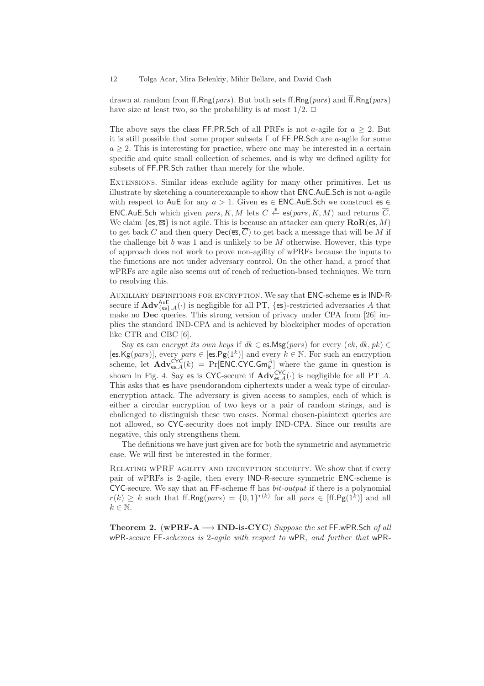drawn at random from ff.Rng(*pars*). But both sets ff.Rng(*pars*) and ff.Rng(*pars*) have size at least two, so the probability is at most  $1/2$ .  $\Box$ 

The above says the class FF.PR.Sch of all PRFs is not a-agile for  $a \geq 2$ . But it is still possible that some proper subsets  $\Gamma$  of FF.PR.Sch are a-agile for some  $a \geq 2$ . This is interesting for practice, where one may be interested in a certain specific and quite small collection of schemes, and is why we defined agility for subsets of FF.PR.Sch rather than merely for the whole.

Extensions. Similar ideas exclude agility for many other primitives. Let us illustrate by sketching a counterexample to show that  $ENC$ . AuE. Sch is not a-agile with respect to AuE for any  $a > 1$ . Given es  $\in$  ENC.AuE.Sch we construct  $\overline{es} \in$ ENC.AuE.Sch which given  $pars, K, M$  lets  $C \stackrel{\$}{\leftarrow} \text{es}(pars, K, M)$  and returns  $\overline{C}$ . We claim  $\{es, \overline{es}\}\$ is not agile. This is because an attacker can query  $\textbf{RoR}(\textbf{es}, M)$ to get back C and then query  $\mathsf{Dec}(\overline{\mathsf{es}}, \overline{C})$  to get back a message that will be M if the challenge bit b was 1 and is unlikely to be  $M$  otherwise. However, this type of approach does not work to prove non-agility of wPRFs because the inputs to the functions are not under adversary control. On the other hand, a proof that wPRFs are agile also seems out of reach of reduction-based techniques. We turn to resolving this.

Auxiliary definitions for encryption. We say that ENC-scheme es is IND-Rsecure if  $\mathbf{Adv}_{\{\mathsf{es}\},A}^{\mathsf{A}\mathsf{u}\mathsf{E}}(\cdot)$  is negligible for all PT,  $\{\mathsf{es}\}$ -restricted adversaries A that make no Dec queries. This strong version of privacy under CPA from [26] implies the standard IND-CPA and is achieved by blockcipher modes of operation like CTR and CBC [6].

Say es can encrypt its own keys if  $dk \in \text{es.Msg}(pars)$  for every  $(ek, dk, pk) \in$ [es.Kg(*pars*)], every  $pars \in [es.Pg(1^k)]$  and every  $k \in \mathbb{N}$ . For such an encryption scheme, let  $\text{Adv}_{\text{es},A}^{\text{CYC}}(k) = \Pr[\text{ENC}.\text{CYC}.\text{Gm}_{k}^{A}]$  where the game in question is shown in Fig. 4. Say es is CYC-secure if  $\mathbf{Adv}^{\mathsf{CYC}}_{\mathsf{es},A}(\cdot)$  is negligible for all PT A. This asks that es have pseudorandom ciphertexts under a weak type of circularencryption attack. The adversary is given access to samples, each of which is either a circular encryption of two keys or a pair of random strings, and is challenged to distinguish these two cases. Normal chosen-plaintext queries are not allowed, so CYC-security does not imply IND-CPA. Since our results are negative, this only strengthens them.

The definitions we have just given are for both the symmetric and asymmetric case. We will first be interested in the former.

Relating wPRF agility and encryption security. We show that if every pair of wPRFs is 2-agile, then every IND-R-secure symmetric ENC-scheme is CYC-secure. We say that an FF-scheme ff has bit-output if there is a polynomial  $r(k) \geq k$  such that ff. Rng(pars) =  $\{0,1\}^{r(k)}$  for all pars  $\in$  [ff. Pg(1<sup>k</sup>)] and all  $k \in \mathbb{N}$ .

Theorem 2. (wPRF-A  $\implies$  IND-is-CYC) Suppose the set FF.wPR.Sch of all wPR-secure FF-schemes is 2-agile with respect to wPR, and further that wPR-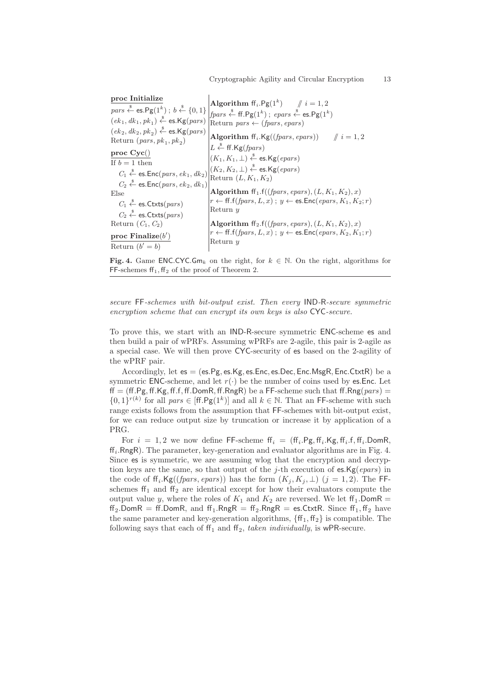proc Initialize  $pars \stackrel{\$}{\leftarrow} \textsf{es.Pg}(1^k) \; ; \; b \stackrel{\$}{\leftarrow} \{0,1\}$  $(ek_1, dk_1, pk_1) \overset{\$}{\leftarrow}$  es.Kg $(pars)$  $(ek_2, dk_2, pk_2) \overset{\$}{\leftarrow}$  es.Kg $(pars)$ Return  $(pars, pk_1, pk_2)$ proc Cyc() If  $b = 1$  then  $C_1 \overset{\$}{\leftarrow}$  es. Enc $(pars, ek_1, dk_2)$  $C_2 \overset{\$}{\leftarrow}$  es. Enc $(pars, ek_2, dk_1)$ Else  $C_1 \overset{\$}{\leftarrow}$  es.Ctxts(*pars*)  $C_2 \overset{\$}{\leftarrow}$  es.Ctxts(*pars*) Return  $(C_1, C_2)$ proc Finalize $(b')$ Return  $(b'=b)$ **Algorithm**  $\mathsf{ff}_i.\mathsf{Pg}(1^k)$   $\#\ i = 1, 2$  $\textit{fpars} \overset{\$}{\leftarrow} \textsf{ff.Pg}(1^k) \ ; \ \textit{epars} \overset{\$}{\leftarrow} \textsf{es.Pg}(1^k)$ Return  $pars \leftarrow (fpars, e pars)$ Algorithm ff<sub>i</sub>.Kg((*fpars*, *epars*))  $\qquad$  // *i* = 1, 2  $L \overset{\$}{\leftarrow}$  ff.Kg(*fpars*)  $(K_1, K_1, \perp) \overset{\$}{\leftarrow}$  es.Kg $\left(\text{eparse}\right)$  $(K_2, K_2, \perp) \overset{\$}{\leftarrow}$  es.Kg $\left(\text{eparse}\right)$ Return  $(L, K_1, K_2)$ Algorithm ff<sub>1</sub>.f((fpars, epars),  $(L, K_1, K_2), x$ )  $r \leftarrow \text{ff.f}(fpars, L, x); y \leftarrow \text{es}.\text{Enc}(epars, K_1, K_2; r)$ Return y Algorithm ff<sub>2</sub>.f((fpars, epars),  $(L, K_1, K_2), x$ )  $r \leftarrow \text{ff.f}(fpars, L, x)$ ;  $y \leftarrow \text{es.Enc}(epars, K_2, K_1; r)$ Return y

**Fig. 4.** Game ENC.CYC.Gm<sub>k</sub> on the right, for  $k \in \mathbb{N}$ . On the right, algorithms for  $FF$ -schemes  $ff_1, ff_2$  of the proof of Theorem 2.

secure FF-schemes with bit-output exist. Then every IND-R-secure symmetric encryption scheme that can encrypt its own keys is also CYC-secure.

To prove this, we start with an IND-R-secure symmetric ENC-scheme es and then build a pair of wPRFs. Assuming wPRFs are 2-agile, this pair is 2-agile as a special case. We will then prove CYC-security of es based on the 2-agility of the wPRF pair.

Accordingly, let  $es = (es.Pg, es.Kg, esEnc, es.Dec, Enc.MsgR, Enc.CtxtR) be a$ symmetric ENC-scheme, and let  $r(\cdot)$  be the number of coins used by es. Enc. Let  $f f = (ff.Pg. ff.Kg, ff.f, ff.DomR, ff.RngR)$  be a FF-scheme such that  $ff.Rng(pars)$  =  $\{0,1\}^{r(k)}$  for all pars  $\in$  [ff.Pg(1<sup>k</sup>)] and all  $k \in \mathbb{N}$ . That an FF-scheme with such range exists follows from the assumption that FF-schemes with bit-output exist, for we can reduce output size by truncation or increase it by application of a PRG.

For  $i = 1,2$  we now define FF-scheme  $\mathsf{ff}_i = (\mathsf{ff}_i.\mathsf{Pg},\mathsf{ff}_i.\mathsf{Kg},\mathsf{ff}_i.\mathsf{f},\mathsf{ff}_i.\mathsf{DomR},$  $\mathsf{ff}_i$ . RngR). The parameter, key-generation and evaluator algorithms are in Fig. 4. Since es is symmetric, we are assuming wlog that the encryption and decryption keys are the same, so that output of the j-th execution of  $es.Kg(expars)$  in the code of  $\mathsf{ff}_i.\mathsf{Kg}((\mathit{fpars},\mathit{epars}))$  has the form  $(K_j,K_j,\perp)$   $(j=1,2)$ . The FFschemes  $\mathsf{ff}_1$  and  $\mathsf{ff}_2$  are identical except for how their evaluators compute the output value y, where the roles of  $K_1$  and  $K_2$  are reversed. We let  $ff_1$ . DomR =  $\text{ff}_2$ .DomR = ff.DomR, and  $\text{ff}_1$ .RngR =  $\text{ff}_2$ .RngR = es.CtxtR. Since  $\text{ff}_1$ ,  $\text{ff}_2$  have the same parameter and key-generation algorithms,  $\{ff_1, ff_2\}$  is compatible. The following says that each of  $ff_1$  and  $ff_2$ , taken individually, is wPR-secure.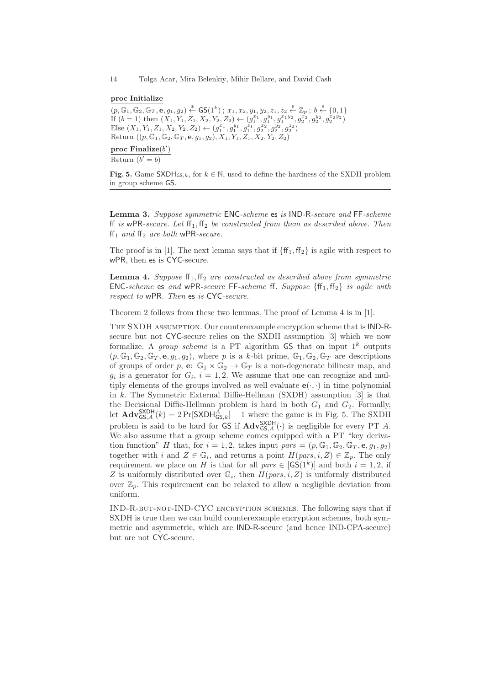#### proc Initialize

 $(p, \mathbb{G}_1, \mathbb{G}_2, \mathbb{G}_T, \mathbf{e}, g_1, g_2) \stackrel{\$}{\leftarrow} \mathsf{GS}(1^k) ; x_1, x_2, y_1, y_2, z_1, z_2 \stackrel{\$}{\leftarrow} \mathbb{Z}_p ; b \stackrel{\$}{\leftarrow} \{0, 1\}$ If  $(b = 1)$  then  $(X_1, Y_1, Z_1, X_2, Y_2, Z_2) \leftarrow (g_1^{x_1}, g_1^{y_1}, g_1^{x_1y_2}, g_2^{x_2}, g_2^{y_2}, g_2^{x_2y_2})$ Else  $(X_1, Y_1, Z_1, X_2, Y_2, Z_2) \leftarrow (g_1^{x_1}, g_1^{y_1}, g_1^{z_1}, g_2^{x_2}, g_2^{y_2}, g_2^{z_2})$ Return  $((p, \mathbb{G}_1, \mathbb{G}_2, \mathbb{G}_T, \mathbf{e}, g_1, g_2), X_1, Y_1, Z_1, X_2, Y_2, Z_2)$ 

proc Finalize $(b')$ 

Return  $(b' = b)$ 

Fig. 5. Game  $SXDH_{GS,k}$ , for  $k \in \mathbb{N}$ , used to define the hardness of the SXDH problem in group scheme GS.

Lemma 3. Suppose symmetric ENC-scheme es is IND-R-secure and FF-scheme ff is wPR-secure. Let  $ff_1, ff_2$  be constructed from them as described above. Then  $ff_1$  and  $ff_2$  are both wPR-secure.

The proof is in [1]. The next lemma says that if  $\{ff_1, ff_2\}$  is agile with respect to wPR, then es is CYC-secure.

**Lemma 4.** Suppose  $ff_1, ff_2$  are constructed as described above from symmetric  $ENC\text{-}scheme$  es and wPR-secure FF-scheme ff. Suppose  $\{ff_1, ff_2\}$  is agile with respect to wPR. Then es is CYC-secure.

Theorem 2 follows from these two lemmas. The proof of Lemma 4 is in [1].

The SXDH assumption. Our counterexample encryption scheme that is IND-Rsecure but not CYC-secure relies on the SXDH assumption [3] which we now formalize. A *group scheme* is a PT algorithm GS that on input  $1^k$  outputs  $(p, \mathbb{G}_1, \mathbb{G}_2, \mathbb{G}_T, \mathbf{e}, q_1, q_2)$ , where p is a k-bit prime,  $\mathbb{G}_1, \mathbb{G}_2, \mathbb{G}_T$  are descriptions of groups of order p, e:  $\mathbb{G}_1 \times \mathbb{G}_2 \to \mathbb{G}_T$  is a non-degenerate bilinear map, and  $g_i$  is a generator for  $G_i$ ,  $i = 1, 2$ . We assume that one can recognize and multiply elements of the groups involved as well evaluate  $e(\cdot, \cdot)$  in time polynomial in k. The Symmetric External Diffie-Hellman (SXDH) assumption [3] is that the Decisional Diffie-Hellman problem is hard in both  $G_1$  and  $G_2$ . Formally, let  $\mathbf{Adv}_{\mathsf{GS},A}^{\mathsf{X}\mathsf{D}\mathsf{H}}(k) = 2 \Pr[\mathsf{S}\mathsf{X}\mathsf{D}\mathsf{H}_{\mathsf{GS},k}^{\mathsf{A}}] - 1$  where the game is in Fig. 5. The SXDH problem is said to be hard for  $GS$  if  $\text{Adv}_{GS,A}^{\text{SXDH}}(\cdot)$  is negligible for every PT A. We also assume that a group scheme comes equipped with a PT "key derivation function" H that, for  $i = 1, 2$ , takes input  $pars = (p, \mathbb{G}_1, \mathbb{G}_2, \mathbb{G}_T, \mathbf{e}, g_1, g_2)$ together with i and  $Z \in \mathbb{G}_i$ , and returns a point  $H(pars, i, Z) \in \mathbb{Z}_p$ . The only requirement we place on H is that for all  $pars \in [GS(1^k)]$  and both  $i = 1, 2$ , if Z is uniformly distributed over  $\mathbb{G}_i$ , then  $H(pars, i, Z)$  is uniformly distributed over  $\mathbb{Z}_p$ . This requirement can be relaxed to allow a negligible deviation from uniform.

IND-R-but-not-IND-CYC encryption schemes. The following says that if SXDH is true then we can build counterexample encryption schemes, both symmetric and asymmetric, which are IND-R-secure (and hence IND-CPA-secure) but are not CYC-secure.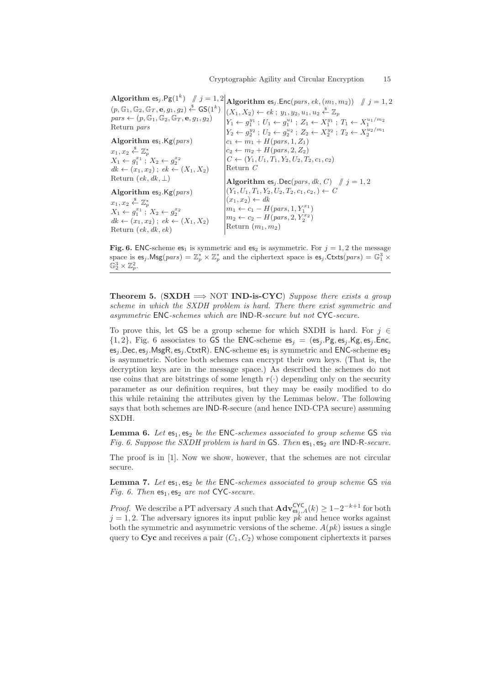Algorithm  $es_j.Pg(1^k)$   $\iiint_j j = 1, 2$  Algorithm  $es_j.Fnc(pars, ek, (m_1, m_2))$   $\iiint_j j = 1, 2$  $(p, \mathbb{G}_1, \mathbb{G}_2, \mathbb{G}_T, \mathbf{e}, g_1, g_2) \overset{\$}{\leftarrow} \mathsf{GS}(1^k)$  $pars \leftarrow (p, \mathbb{G}_1, \mathbb{G}_2, \mathbb{G}_T, \mathbf{e}, g_1, g_2)$ Return pars Algorithm  $es_1.Kg(pars)$  $x_1, x_2 \overset{\hspace{0.1em}\mathsf{\scriptscriptstyle\$}}{\leftarrow} \mathbb{Z}_p^*$  $X_1 \leftarrow g_1^{x_1}; X_2 \leftarrow g_2^{x_2}$  $dk \leftarrow (x_1, x_2); \, ek \leftarrow (X_1, X_2)$ Return  $(ek, dk, \perp)$ Algorithm  $es_2.Kg(pars)$  $x_1, x_2 \overset{\hspace{0.1em}\mathsf{\scriptscriptstyle\$}}{\leftarrow} \mathbb{Z}_p^*$  $X_1 \leftarrow g_1^{x_1}; X_2 \leftarrow g_2^{x_2}$  $dk \leftarrow (x_1, x_2); \; ek \leftarrow (X_1, X_2)$ Return  $(ek, dk, ek)$  $(X_1, X_2) \leftarrow ek$ ;  $y_1, y_2, u_1, u_2 \stackrel{\$}{\leftarrow} \mathbb{Z}_p$  $Y_1 \leftarrow g_1^{y_1}; U_1 \leftarrow g_1^{u_1}; Z_1 \leftarrow X_1^{y_1}; T_1 \leftarrow X_1^{u_1/m_2}$  $Y_2 \leftarrow g_2^{y_2}; U_2 \leftarrow g_2^{u_2}; Z_2 \leftarrow X_2^{y_2}; T_2 \leftarrow X_2^{u_2/m_1}$  $c_1 \leftarrow m_1 + H(pars, 1, Z_1)$  $c_2 \leftarrow m_2 + H(pars, 2, Z_2)$  $C \leftarrow (Y_1, U_1, \tilde{T}_1, Y_2, U_2, \tilde{T}_2, c_1, c_2)$ Return C Algorithm es<sub>j</sub>.Dec(*pars*, dk, C)  $\# j = 1, 2$  $(Y_1, U_1, T_1, Y_2, U_2, T_2, c_1, c_2) \leftarrow C$  $(x_1, x_2) \leftarrow dk$  $m_1 \leftarrow c_1 - H(pars, 1, Y_1^{x_1})$  $m_2 \leftarrow c_2 - H(pars, 2, Y_2^{x_2})$ Return  $(m_1, m_2)$ 

Fig. 6. ENC-scheme es<sub>1</sub> is symmetric and es<sub>2</sub> is asymmetric. For  $j = 1, 2$  the message space is  $\mathsf{es}_j.\mathsf{Msg}(pars) = \mathbb{Z}_p^* \times \mathbb{Z}_p^*$  and the ciphertext space is  $\mathsf{es}_j.\mathsf{Ctxts}(pars) = \mathbb{G}_1^3 \times$  $\mathbb{G}_2^3\times\mathbb{Z}_p^2$ .

**Theorem 5.** (SXDH  $\implies$  NOT IND-is-CYC) *Suppose there exists a group* scheme in which the SXDH problem is hard. There there exist symmetric and asymmetric ENC-schemes which are IND-R-secure but not CYC-secure.

To prove this, let GS be a group scheme for which SXDH is hard. For  $j \in$  $\{1, 2\}$ , Fig. 6 associates to GS the ENC-scheme  $es_i = (es_i \cdot Pg, es_j \cdot Kg, es_j \cdot Enc,$  $es_i$ .Dec, es<sub>i</sub>.MsgR, es<sub>i</sub>.CtxtR). ENC-scheme es<sub>1</sub> is symmetric and ENC-scheme es<sub>2</sub> is asymmetric. Notice both schemes can encrypt their own keys. (That is, the decryption keys are in the message space.) As described the schemes do not use coins that are bitstrings of some length  $r(\cdot)$  depending only on the security parameter as our definition requires, but they may be easily modified to do this while retaining the attributes given by the Lemmas below. The following says that both schemes are IND-R-secure (and hence IND-CPA secure) assuming SXDH.

**Lemma 6.** Let  $es_1$ ,  $es_2$  be the ENC-schemes associated to group scheme GS via Fig. 6. Suppose the SXDH problem is hard in  $\mathsf{GS}$ . Then  $\mathsf{es}_1$ ,  $\mathsf{es}_2$  are IND-R-secure.

The proof is in [1]. Now we show, however, that the schemes are not circular secure.

**Lemma 7.** Let  $es_1, es_2$  be the ENC-schemes associated to group scheme GS via Fig. 6. Then  $es_1, es_2$  are not CYC-secure.

*Proof.* We describe a PT adversary A such that  $\mathbf{Adv}_{\mathbf{es}_j,A}^{\mathbf{CYC}}(k) \geq 1-2^{-k+1}$  for both  $j = 1, 2$ . The adversary ignores its input public key pk and hence works against both the symmetric and asymmetric versions of the scheme.  $A(pk)$  issues a single query to Cyc and receives a pair  $(C_1, C_2)$  whose component ciphertexts it parses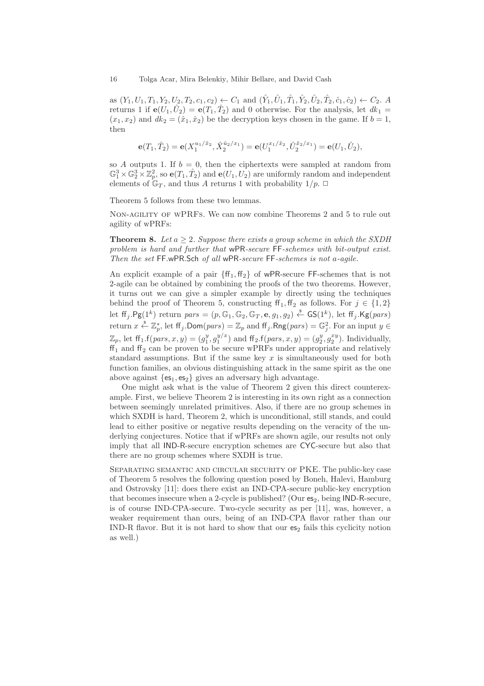as  $(Y_1, U_1, T_1, Y_2, U_2, T_2, c_1, c_2) \leftarrow C_1$  and  $(\hat{Y}_1, \hat{U}_1, \hat{T}_1, \hat{Y}_2, \hat{U}_2, \hat{T}_2, \hat{c}_1, \hat{c}_2) \leftarrow C_2$ . returns 1 if  $e(U_1, \hat{U}_2) = e(T_1, \hat{T}_2)$  and 0 otherwise. For the analysis, let  $dk_1 =$  $(x_1, x_2)$  and  $dk_2 = (\hat{x}_1, \hat{x}_2)$  be the decryption keys chosen in the game. If  $b = 1$ , then

$$
\mathbf{e}(T_1, \hat{T}_2) = \mathbf{e}(X_1^{u_1/\hat{x}_2}, \hat{X}_2^{\hat{u}_2/x_1}) = \mathbf{e}(U_1^{x_1/\hat{x}_2}, \hat{U}_2^{\hat{x}_2/x_1}) = \mathbf{e}(U_1, \hat{U}_2),
$$

so A outputs 1. If  $b = 0$ , then the ciphertexts were sampled at random from  $\mathbb{G}_1^3 \times \mathbb{G}_2^3 \times \mathbb{Z}_p^2$ , so  $e(T_1, \hat{T}_2)$  and  $e(U_1, U_2)$  are uniformly random and independent elements of  $\mathbb{G}_T$ , and thus A returns 1 with probability  $1/p$ .

Theorem 5 follows from these two lemmas.

Non-agility of wPRFs. We can now combine Theorems 2 and 5 to rule out agility of wPRFs:

**Theorem 8.** Let  $a \geq 2$ . Suppose there exists a group scheme in which the SXDH problem is hard and further that wPR-secure FF-schemes with bit-output exist. Then the set FF.wPR.Sch of all wPR-secure FF-schemes is not a-agile.

An explicit example of a pair  $\{ff_1, ff_2\}$  of wPR-secure FF-schemes that is not 2-agile can be obtained by combining the proofs of the two theorems. However, it turns out we can give a simpler example by directly using the techniques behind the proof of Theorem 5, constructing  $ff_1, ff_2$  as follows. For  $j \in \{1,2\}$ let  $\text{ff}_j.\text{Pg}(1^k)$  return  $pars = (p, \mathbb{G}_1, \mathbb{G}_2, \mathbb{G}_T, \mathbf{e}, g_1, g_2) \overset{\hspace{0.1em}\mathsf{\scriptscriptstyle\$}}{\leftarrow} \textsf{GS}(1^k)$ , let  $\text{ff}_j.\text{Kg}(pars)$ return  $x \stackrel{\hspace{0.1em}\mathsf{\scriptscriptstyle\$}}{\leftarrow} \mathbb{Z}_p^*$ , let  $\mathsf{ff}_j$ . Dom $(\mathit{pars}) = \mathbb{Z}_p$  and  $\mathsf{ff}_j$ . Rng $(\mathit{pars}) = \mathbb{G}_j^2$ . For an input  $y \in$  $\mathbb{Z}_p$ , let ff<sub>1</sub>.f(*pars*, *x*, *y*) =  $(g_1^y, g_1^{y/x})$  and ff<sub>2</sub>.f(*pars*, *x*, *y*) =  $(g_2^y, g_2^{xy})$ . Individually,  $\widehat{ff_1}$  and  $\widehat{ff_2}$  can be proven to be secure wPRFs under appropriate and relatively standard assumptions. But if the same key  $x$  is simultaneously used for both function families, an obvious distinguishing attack in the same spirit as the one above against  $\{es_1, es_2\}$  gives an adversary high advantage.

One might ask what is the value of Theorem 2 given this direct counterexample. First, we believe Theorem 2 is interesting in its own right as a connection between seemingly unrelated primitives. Also, if there are no group schemes in which SXDH is hard, Theorem 2, which is unconditional, still stands, and could lead to either positive or negative results depending on the veracity of the underlying conjectures. Notice that if wPRFs are shown agile, our results not only imply that all IND-R-secure encryption schemes are CYC-secure but also that there are no group schemes where SXDH is true.

Separating semantic and circular security of PKE. The public-key case of Theorem 5 resolves the following question posed by Boneh, Halevi, Hamburg and Ostrovsky [11]: does there exist an IND-CPA-secure public-key encryption that becomes insecure when a 2-cycle is published? (Our  $es_2$ , being IND-R-secure, is of course IND-CPA-secure. Two-cycle security as per [11], was, however, a weaker requirement than ours, being of an IND-CPA flavor rather than our IND-R flavor. But it is not hard to show that our  $\epsilon_2$  fails this cyclicity notion as well.)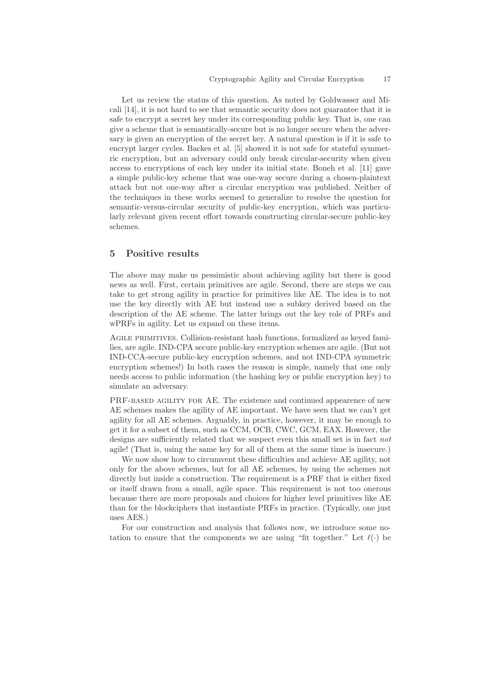Let us review the status of this question. As noted by Goldwasser and Micali [14], it is not hard to see that semantic security does not guarantee that it is safe to encrypt a secret key under its corresponding public key. That is, one can give a scheme that is semantically-secure but is no longer secure when the adversary is given an encryption of the secret key. A natural question is if it is safe to encrypt larger cycles. Backes et al. [5] showed it is not safe for stateful symmetric encryption, but an adversary could only break circular-security when given access to encryptions of each key under its initial state. Boneh et al. [11] gave a simple public-key scheme that was one-way secure during a chosen-plaintext attack but not one-way after a circular encryption was published. Neither of the techniques in these works seemed to generalize to resolve the question for semantic-versus-circular security of public-key encryption, which was particularly relevant given recent effort towards constructing circular-secure public-key schemes.

#### 5 Positive results

The above may make us pessimistic about achieving agility but there is good news as well. First, certain primitives are agile. Second, there are steps we can take to get strong agility in practice for primitives like AE. The idea is to not use the key directly with AE but instead use a subkey derived based on the description of the AE scheme. The latter brings out the key role of PRFs and wPRFs in agility. Let us expand on these items.

Agile primitives. Collision-resistant hash functions, formalized as keyed families, are agile. IND-CPA secure public-key encryption schemes are agile. (But not IND-CCA-secure public-key encryption schemes, and not IND-CPA symmetric encryption schemes!) In both cases the reason is simple, namely that one only needs access to public information (the hashing key or public encryption key) to simulate an adversary.

PRF-BASED AGILITY FOR AE. The existence and continued appearence of new AE schemes makes the agility of AE important. We have seen that we can't get agility for all AE schemes. Arguably, in practice, however, it may be enough to get it for a subset of them, such as CCM, OCB, CWC, GCM, EAX. However, the designs are sufficiently related that we suspect even this small set is in fact not agile! (That is, using the same key for all of them at the same time is insecure.)

We now show how to circumvent these difficulties and achieve AE agility, not only for the above schemes, but for all AE schemes, by using the schemes not directly but inside a construction. The requirement is a PRF that is either fixed or itself drawn from a small, agile space. This requirement is not too onerous because there are more proposals and choices for higher level primitives like AE than for the blockciphers that instantiate PRFs in practice. (Typically, one just uses AES.)

For our construction and analysis that follows now, we introduce some notation to ensure that the components we are using "fit together." Let  $\ell(\cdot)$  be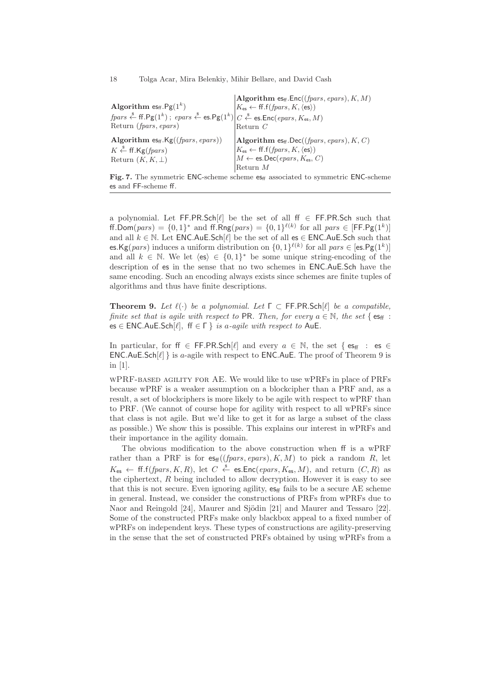|                                                                                                                                                                               | Algorithm $es_{ff}$ . Enc $((\text{fpars}, \text{epars}), K, M)$                                         |
|-------------------------------------------------------------------------------------------------------------------------------------------------------------------------------|----------------------------------------------------------------------------------------------------------|
| Algorithm $es_{ff}$ . $Pg(1^k)$                                                                                                                                               | $ K_{\text{es}} \leftarrow \text{ff.f}(fpars, K, \langle \text{es} \rangle)$                             |
| fpars $\stackrel{\$}{\leftarrow}$ ff.Pg(1 <sup>k</sup> ); epars $\stackrel{\$}{\leftarrow}$ es.Pg(1 <sup>k</sup> ) $ C \stackrel{\$}{\leftarrow}$ es.Enc(epars, $K_{es}$ , M) |                                                                                                          |
| Return (fpars, epars)                                                                                                                                                         | Return $C$                                                                                               |
| Algorithm $es_{ff}$ .Kg(( <i>fpars</i> , <i>epars</i> ))                                                                                                                      | Algorithm $esff$ .Dec((fpars, epars), K, C)                                                              |
| $K \overset{\hspace{0.1em}\mathsf{\scriptscriptstyle\$}}{\leftarrow}$ ff. Kg( <i>fpars</i> )                                                                                  | $ K_{\text{es}} \leftarrow \text{ff.f}(fpars, K, \langle \text{es} \rangle)$                             |
| Return $(K, K, \perp)$                                                                                                                                                        | $M \leftarrow \text{es.Dec}(epars, K_{\text{es}}, C)$                                                    |
|                                                                                                                                                                               | Return $M$                                                                                               |
|                                                                                                                                                                               | <b>Fig. 7.</b> The symmetric <b>ENC</b> -scheme scheme $esff$ associated to symmetric <b>ENC</b> -scheme |

es and FF-scheme ff.

a polynomial. Let FF.PR.Sch $[\ell]$  be the set of all ff  $\in$  FF.PR.Sch such that ff.Dom(pars) = {0,1}<sup>\*</sup> and ff.Rng(pars) = {0,1}<sup> $\ell(k)$ </sup> for all pars  $\in$  [FF.Pg(1<sup>k</sup>)] and all  $k \in \mathbb{N}$ . Let  $ENCAuE.Sch[\ell]$  be the set of all es  $\in ENCAuE.Sch$  such that es.Kg(*pars*) induces a uniform distribution on  $\{0,1\}^{\ell(k)}$  for all  $pars \in [es.Pg(1^k)]$ and all  $k \in \mathbb{N}$ . We let  $\langle es \rangle \in \{0, 1\}^*$  be some unique string-encoding of the description of es in the sense that no two schemes in ENC.AuE.Sch have the same encoding. Such an encoding always exists since schemes are finite tuples of algorithms and thus have finite descriptions.

**Theorem 9.** Let  $\ell(\cdot)$  be a polynomial. Let  $\Gamma \subset \mathsf{FF}.\mathsf{PR}.\mathsf{Sch}[\ell]$  be a compatible, finite set that is agile with respect to PR. Then, for every  $a \in \mathbb{N}$ , the set {  $es_{ff}$ :  $es \in ENC.AuE.Sch[\ell], ff \in \Gamma$  *is a-agile with respect to* AuE.

In particular, for ff  $\in$  FF.PR.Sch[ $\ell$ ] and every  $a \in \mathbb{N}$ , the set  $\{es_{ff} : es \in$  $ENC.AuE.Sch[\ell]$  is a-agile with respect to  $ENC.AuE$ . The proof of Theorem 9 is in [1].

wPRF-based agility for AE. We would like to use wPRFs in place of PRFs because wPRF is a weaker assumption on a blockcipher than a PRF and, as a result, a set of blockciphers is more likely to be agile with respect to wPRF than to PRF. (We cannot of course hope for agility with respect to all wPRFs since that class is not agile. But we'd like to get it for as large a subset of the class as possible.) We show this is possible. This explains our interest in wPRFs and their importance in the agility domain.

The obvious modification to the above construction when ff is a wPRF rather than a PRF is for  $es<sub>ff</sub>((\text{fpars}, \text{epars}), K, M)$  to pick a random R, let  $K_{\text{es}} \leftarrow \text{ff.f}(fpars, K, R)$ , let  $C \stackrel{\$}{\leftarrow} \text{es}.\text{Enc}(epars, K_{\text{es}}, M)$ , and return  $(C, R)$  as the ciphertext,  $R$  being included to allow decryption. However it is easy to see that this is not secure. Even ignoring agility,  $\epsilon_{\text{Sf}}$  fails to be a secure AE scheme in general. Instead, we consider the constructions of PRFs from wPRFs due to Naor and Reingold [24], Maurer and Sjödin [21] and Maurer and Tessaro [22]. Some of the constructed PRFs make only blackbox appeal to a fixed number of wPRFs on independent keys. These types of constructions are agility-preserving in the sense that the set of constructed PRFs obtained by using wPRFs from a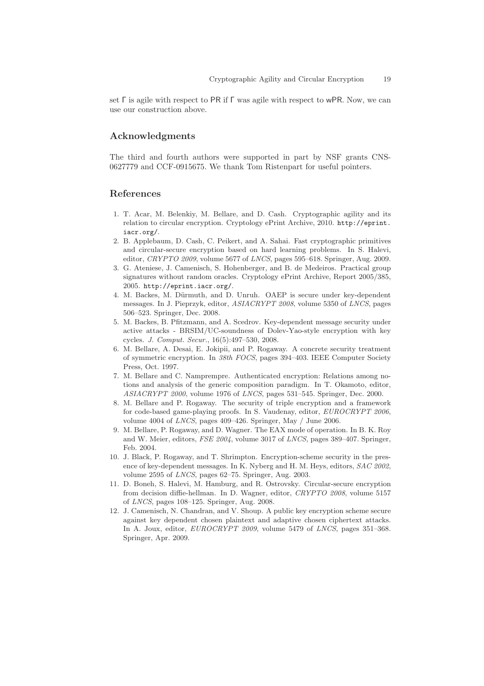set Γ is agile with respect to PR if Γ was agile with respect to wPR. Now, we can use our construction above.

## Acknowledgments

The third and fourth authors were supported in part by NSF grants CNS-0627779 and CCF-0915675. We thank Tom Ristenpart for useful pointers.

## References

- 1. T. Acar, M. Belenkiy, M. Bellare, and D. Cash. Cryptographic agility and its relation to circular encryption. Cryptology ePrint Archive, 2010. http://eprint. iacr.org/.
- 2. B. Applebaum, D. Cash, C. Peikert, and A. Sahai. Fast cryptographic primitives and circular-secure encryption based on hard learning problems. In S. Halevi, editor, CRYPTO 2009, volume 5677 of LNCS, pages 595–618. Springer, Aug. 2009.
- 3. G. Ateniese, J. Camenisch, S. Hohenberger, and B. de Medeiros. Practical group signatures without random oracles. Cryptology ePrint Archive, Report 2005/385, 2005. http://eprint.iacr.org/.
- 4. M. Backes, M. Dürmuth, and D. Unruh. OAEP is secure under key-dependent messages. In J. Pieprzyk, editor, ASIACRYPT 2008, volume 5350 of LNCS, pages 506–523. Springer, Dec. 2008.
- 5. M. Backes, B. Pfitzmann, and A. Scedrov. Key-dependent message security under active attacks - BRSIM/UC-soundness of Dolev-Yao-style encryption with key cycles. J. Comput. Secur., 16(5):497–530, 2008.
- 6. M. Bellare, A. Desai, E. Jokipii, and P. Rogaway. A concrete security treatment of symmetric encryption. In 38th FOCS, pages 394–403. IEEE Computer Society Press, Oct. 1997.
- 7. M. Bellare and C. Namprempre. Authenticated encryption: Relations among notions and analysis of the generic composition paradigm. In T. Okamoto, editor, ASIACRYPT 2000, volume 1976 of LNCS, pages 531–545. Springer, Dec. 2000.
- 8. M. Bellare and P. Rogaway. The security of triple encryption and a framework for code-based game-playing proofs. In S. Vaudenay, editor, EUROCRYPT 2006, volume 4004 of LNCS, pages 409–426. Springer, May / June 2006.
- 9. M. Bellare, P. Rogaway, and D. Wagner. The EAX mode of operation. In B. K. Roy and W. Meier, editors, FSE 2004, volume 3017 of LNCS, pages 389–407. Springer, Feb. 2004.
- 10. J. Black, P. Rogaway, and T. Shrimpton. Encryption-scheme security in the presence of key-dependent messages. In K. Nyberg and H. M. Heys, editors, SAC 2002, volume 2595 of LNCS, pages 62–75. Springer, Aug. 2003.
- 11. D. Boneh, S. Halevi, M. Hamburg, and R. Ostrovsky. Circular-secure encryption from decision diffie-hellman. In D. Wagner, editor, CRYPTO 2008, volume 5157 of LNCS, pages 108–125. Springer, Aug. 2008.
- 12. J. Camenisch, N. Chandran, and V. Shoup. A public key encryption scheme secure against key dependent chosen plaintext and adaptive chosen ciphertext attacks. In A. Joux, editor, EUROCRYPT 2009, volume 5479 of LNCS, pages 351–368. Springer, Apr. 2009.